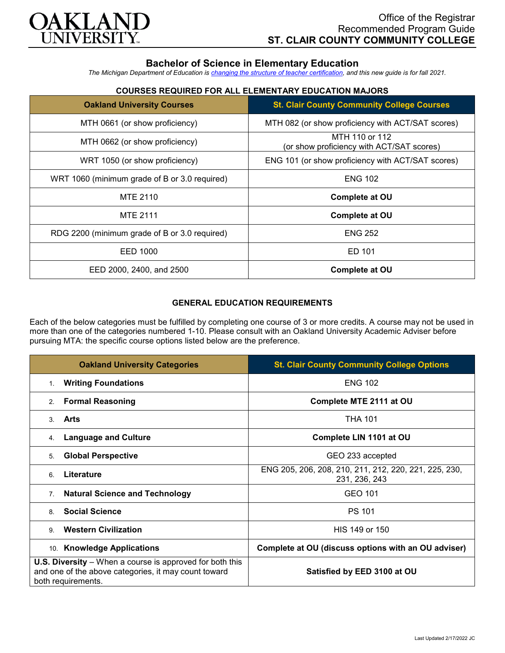

# **Bachelor of Science in Elementary Education**

*The Michigan Department of Education is [changing the structure of teacher certification,](https://docs.google.com/document/d/1W1uUK14Njx6WAB56T4jHbat65OZyg6TS04LdNWMXEcI/edit) and this new guide is for fall 2021.*

## **COURSES REQUIRED FOR ALL ELEMENTARY EDUCATION MAJORS**

| <b>Oakland University Courses</b>             | <b>St. Clair County Community College Courses</b>           |
|-----------------------------------------------|-------------------------------------------------------------|
| MTH 0661 (or show proficiency)                | MTH 082 (or show proficiency with ACT/SAT scores)           |
| MTH 0662 (or show proficiency)                | MTH 110 or 112<br>(or show proficiency with ACT/SAT scores) |
| WRT 1050 (or show proficiency)                | ENG 101 (or show proficiency with ACT/SAT scores)           |
| WRT 1060 (minimum grade of B or 3.0 required) | <b>ENG 102</b>                                              |
| MTE 2110                                      | <b>Complete at OU</b>                                       |
| <b>MTE 2111</b>                               | <b>Complete at OU</b>                                       |
| RDG 2200 (minimum grade of B or 3.0 required) | <b>ENG 252</b>                                              |
| EED 1000                                      | ED 101                                                      |
| EED 2000, 2400, and 2500                      | <b>Complete at OU</b>                                       |

### **GENERAL EDUCATION REQUIREMENTS**

Each of the below categories must be fulfilled by completing one course of 3 or more credits. A course may not be used in more than one of the categories numbered 1-10. Please consult with an Oakland University Academic Adviser before pursuing MTA: the specific course options listed below are the preference.

| <b>Oakland University Categories</b>                                                                                                          | <b>St. Clair County Community College Options</b>                      |
|-----------------------------------------------------------------------------------------------------------------------------------------------|------------------------------------------------------------------------|
| <b>Writing Foundations</b><br>1.                                                                                                              | <b>ENG 102</b>                                                         |
| <b>Formal Reasoning</b><br>2.                                                                                                                 | Complete MTE 2111 at OU                                                |
| Arts<br>$\mathcal{S}$                                                                                                                         | <b>THA 101</b>                                                         |
| <b>Language and Culture</b><br>4.                                                                                                             | Complete LIN 1101 at OU                                                |
| <b>Global Perspective</b><br>5.                                                                                                               | GEO 233 accepted                                                       |
| Literature<br>6.                                                                                                                              | ENG 205, 206, 208, 210, 211, 212, 220, 221, 225, 230,<br>231, 236, 243 |
| <b>Natural Science and Technology</b><br>7 <sub>1</sub>                                                                                       | GEO 101                                                                |
| <b>Social Science</b><br>8                                                                                                                    | <b>PS 101</b>                                                          |
| <b>Western Civilization</b><br>9                                                                                                              | HIS 149 or 150                                                         |
| 10. Knowledge Applications                                                                                                                    | Complete at OU (discuss options with an OU adviser)                    |
| <b>U.S. Diversity</b> – When a course is approved for both this<br>and one of the above categories, it may count toward<br>both requirements. | Satisfied by EED 3100 at OU                                            |